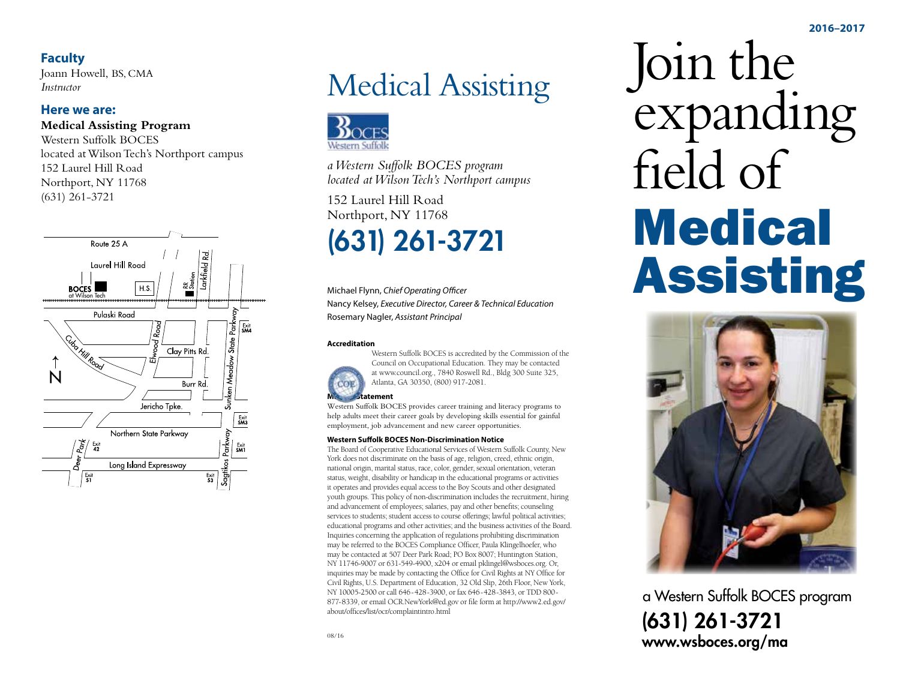#### **Faculty**

Joann Howell, BS, CMA *Instructor*

#### **Here we are:**

**Medical Assisting Program**

Western Suffolk BOCES located at Wilson Tech's Northport campus 152 Laurel Hill Road Northport, NY 11768 (631) 261-3721



# Medical Assisting



*a Western Suffolk BOCES program located at Wilson Tech's Northport campus*

152 Laurel Hill Road Northport, NY 11768

## (631) 261-3721

Michael Flynn, *Chief Operating Officer* Nancy Kelsey, *Executive Director, Career & Technical Education* Rosemary Nagler, *Assistant Principal*

#### **Accreditation**



Western Suffolk BOCES is accredited by the Commission of the Council on Occupational Education. They may be contacted at www.council.org., 7840 Roswell Rd., Bldg 300 Suite 325, Atlanta, GA 30350, (800) 917-2081.

Western Suffolk BOCES provides career training and literacy programs to help adults meet their career goals by developing skills essential for gainful employment, job advancement and new career opportunities.

#### **Western Suffolk BOCES Non-Discrimination Notice**

The Board of Cooperative Educational Services of Western Suffolk County, New York does not discriminate on the basis of age, religion, creed, ethnic origin, national origin, marital status, race, color, gender, sexual orientation, veteran status, weight, disability or handicap in the educational programs or activities it operates and provides equal access to the Boy Scouts and other designated youth groups. This policy of non-discrimination includes the recruitment, hiring and advancement of employees; salaries, pay and other benefits; counseling services to students; student access to course offerings; lawful political activities; educational programs and other activities; and the business activities of the Board. Inquiries concerning the application of regulations prohibiting discrimination may be referred to the BOCES Compliance Officer, Paula Klingelhoefer, who may be contacted at 507 Deer Park Road; PO Box 8007; Huntington Station, NY 11746-9007 or 631-549-4900, x204 or email pklingel@wsboces.org. Or, inquiries may be made by contacting the Office for Civil Rights at NY Office for Civil Rights, U.S. Department of Education, 32 Old Slip, 26th Floor, New York, NY 10005-2500 or call 646-428-3900, or fax 646-428-3843, or TDD 800- 877-8339, or email OCR.NewYork@ed.gov or file form at http://www2.ed.gov/ about/offices/list/ocr/complaintintro.html

Join the expanding field of **Medical** Assisting



a Western Suffolk BOCES program (631) 261-3721 www.wsboces.org/ma